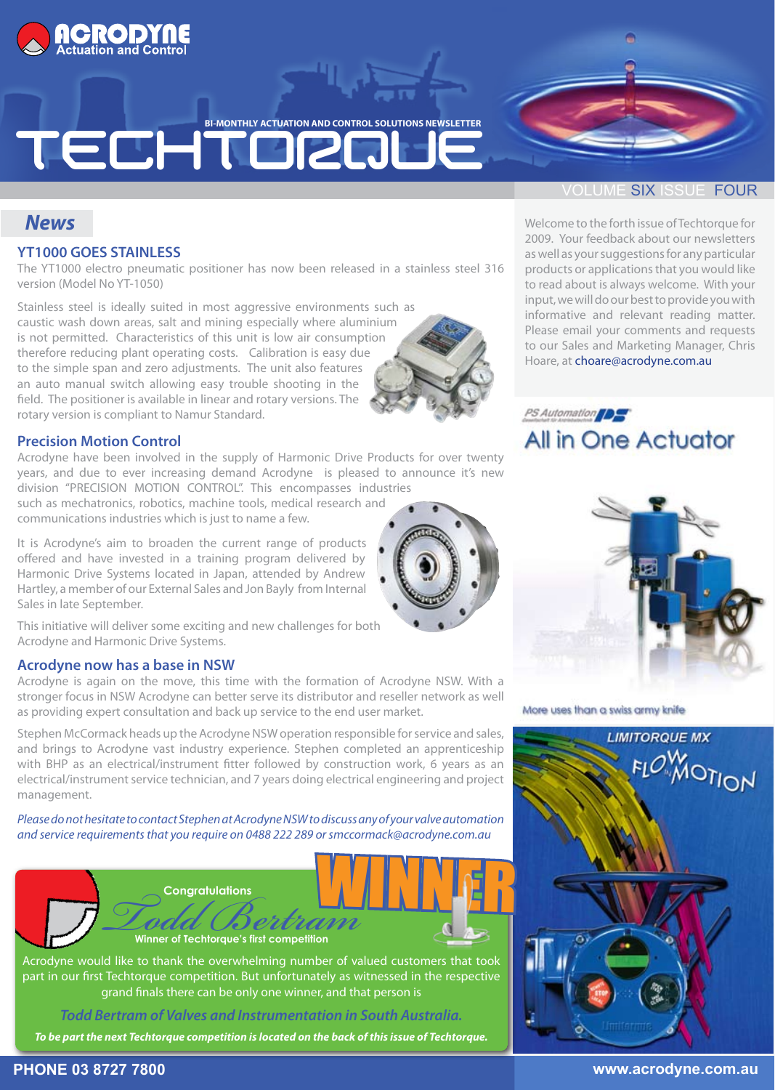

**BI-MONTHLY ACTUATION AND CONTROL SOLUTIONS NEWSLETTER** 

## TECHTORQ

#### *News*

#### **YT1000 GOES STAINLESS**

The YT1000 electro pneumatic positioner has now been released in a stainless steel 316 version (Model No YT-1050)

Stainless steel is ideally suited in most aggressive environments such as caustic wash down areas, salt and mining especially where aluminium is not permitted. Characteristics of this unit is low air consumption therefore reducing plant operating costs. Calibration is easy due to the simple span and zero adjustments. The unit also features an auto manual switch allowing easy trouble shooting in the field. The positioner is available in linear and rotary versions. The rotary version is compliant to Namur Standard.

#### **Precision Motion Control**

Acrodyne have been involved in the supply of Harmonic Drive Products for over twenty years, and due to ever increasing demand Acrodyne is pleased to announce it's new division "PRECISION MOTION CONTROL". This encompasses industries

such as mechatronics, robotics, machine tools, medical research and communications industries which is just to name a few.

It is Acrodyne's aim to broaden the current range of products offered and have invested in a training program delivered by Harmonic Drive Systems located in Japan, attended by Andrew Hartley, a member of our External Sales and Jon Bayly from Internal Sales in late September.

This initiative will deliver some exciting and new challenges for both Acrodyne and Harmonic Drive Systems.

#### **Acrodyne now has a base in NSW**

Acrodyne is again on the move, this time with the formation of Acrodyne NSW. With a stronger focus in NSW Acrodyne can better serve its distributor and reseller network as well as providing expert consultation and back up service to the end user market.

Stephen McCormack heads up the Acrodyne NSW operation responsible for service and sales, and brings to Acrodyne vast industry experience. Stephen completed an apprenticeship with BHP as an electrical/instrument fitter followed by construction work, 6 years as an electrical/instrument service technician, and 7 years doing electrical engineering and project management.

*Please do not hesitate to contact Stephen at Acrodyne NSW to discuss any of your valve automation and service requirements that you require on 0488 222 289 or smccormack@acrodyne.com.au*



part in our first Techtorque competition. But unfortunately as witnessed in the respective grand finals there can be only one winner, and that person is

*Todd Bertram of Valves and Instrumentation in South Australia.*

*To be part the next Techtorque competition is located on the back of this issue of Techtorque.* 

#### **OLUME SIX ISSUE FOUR**

Welcome to the forth issue of Techtorque for 2009. Your feedback about our newsletters as well as your suggestions for any particular products or applications that you would like to read about is always welcome. With your input, we will do our best to provide you with informative and relevant reading matter. Please email your comments and requests to our Sales and Marketing Manager, Chris Hoare, at choare@acrodyne.com.au





More uses than a swiss army knife



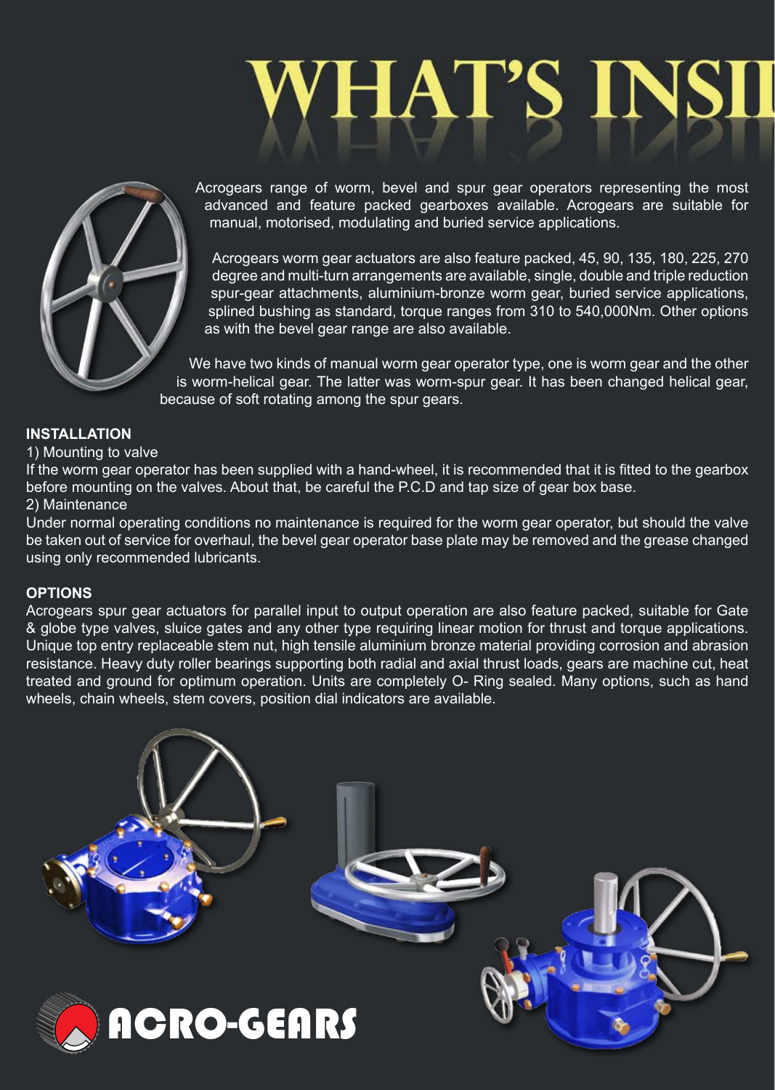# **VHAT'S IN**



Acrogears range of worm, bevel and spur gear operators representing the most advanced and feature packed gearboxes available. Acrogears are suitable for manual, motorised, modulating and buried service applications.

Acrogears worm gear actuators are also feature packed, 45, 90, 135, 180, 225, 270 degree and multi-turn arrangements are available, single, double and triple reduction spur-gear attachments, aluminium-bronze worm gear, buried service applications, splined bushing as standard, torque ranges from 310 to 540,000Nm. Other options as with the bevel gear range are also available.

We have two kinds of manual worm gear operator type, one is worm gear and the other is worm-helical gear. The latter was worm-spur gear. It has been changed helical gear, because of soft rotating among the spur gears.

#### **INSTALLATION**

#### 1) Mounting to valve

If the worm gear operator has been supplied with a hand-wheel, it is recommended that it is fitted to the gearbox before mounting on the valves. About that, be careful the P.C.D and tap size of gear box base.

#### 2) Maintenance

Under normal operating conditions no maintenance is required for the worm gear operator, but should the valve be taken out of service for overhaul, the bevel gear operator base plate may be removed and the grease changed using only recommended lubricants.

#### **OPTIONS**

Acrogears spur gear actuators for parallel input to output operation are also feature packed, suitable for Gate & globe type valves, sluice gates and any other type requiring linear motion for thrust and torque applications. Unique top entry replaceable stem nut, high tensile aluminium bronze material providing corrosion and abrasion resistance. Heavy duty roller bearings supporting both radial and axial thrust loads, gears are machine cut, heat treated and ground for optimum operation. Units are completely O- Ring sealed. Many options, such as hand wheels, chain wheels, stem covers, position dial indicators are available.

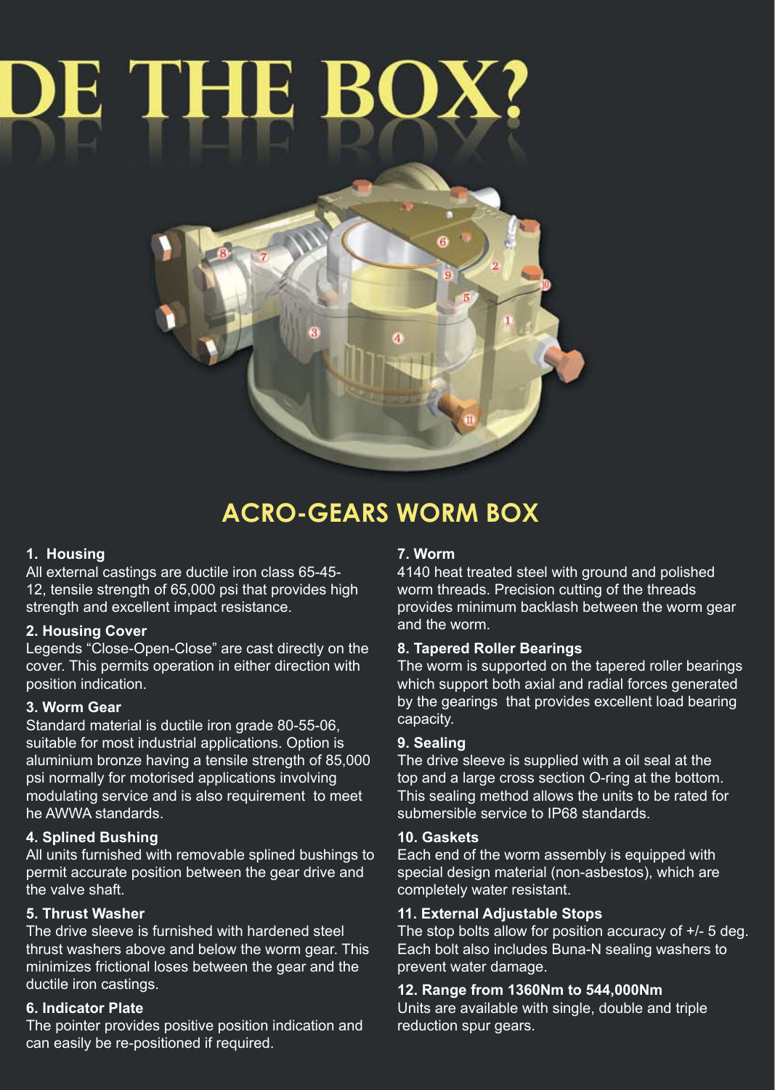## DE THE BO



### **ACRO-GEARS WORM BOX**

#### **1. Housing**

All external castings are ductile iron class 65-45- 12, tensile strength of 65,000 psi that provides high strength and excellent impact resistance.

#### **2. Housing Cover**

Legends "Close-Open-Close" are cast directly on the cover. This permits operation in either direction with position indication.

#### **3. Worm Gear**

Standard material is ductile iron grade 80-55-06, suitable for most industrial applications. Option is aluminium bronze having a tensile strength of 85,000 psi normally for motorised applications involving modulating service and is also requirement to meet he AWWA standards.

#### **4. Splined Bushing**

All units furnished with removable splined bushings to permit accurate position between the gear drive and the valve shaft.

#### **5. Thrust Washer**

The drive sleeve is furnished with hardened steel thrust washers above and below the worm gear. This minimizes frictional loses between the gear and the ductile iron castings.

#### **6. Indicator Plate**

The pointer provides positive position indication and can easily be re-positioned if required.

#### **7. Worm**

4140 heat treated steel with ground and polished worm threads. Precision cutting of the threads provides minimum backlash between the worm gear and the worm.

#### **8. Tapered Roller Bearings**

The worm is supported on the tapered roller bearings which support both axial and radial forces generated by the gearings that provides excellent load bearing capacity.

#### **9. Sealing**

The drive sleeve is supplied with a oil seal at the top and a large cross section O-ring at the bottom. This sealing method allows the units to be rated for submersible service to IP68 standards.

#### **10. Gaskets**

Each end of the worm assembly is equipped with special design material (non-asbestos), which are completely water resistant.

#### **11. External Adjustable Stops**

The stop bolts allow for position accuracy of +/- 5 deg. Each bolt also includes Buna-N sealing washers to prevent water damage.

#### **12. Range from 1360Nm to 544,000Nm**

Units are available with single, double and triple reduction spur gears.